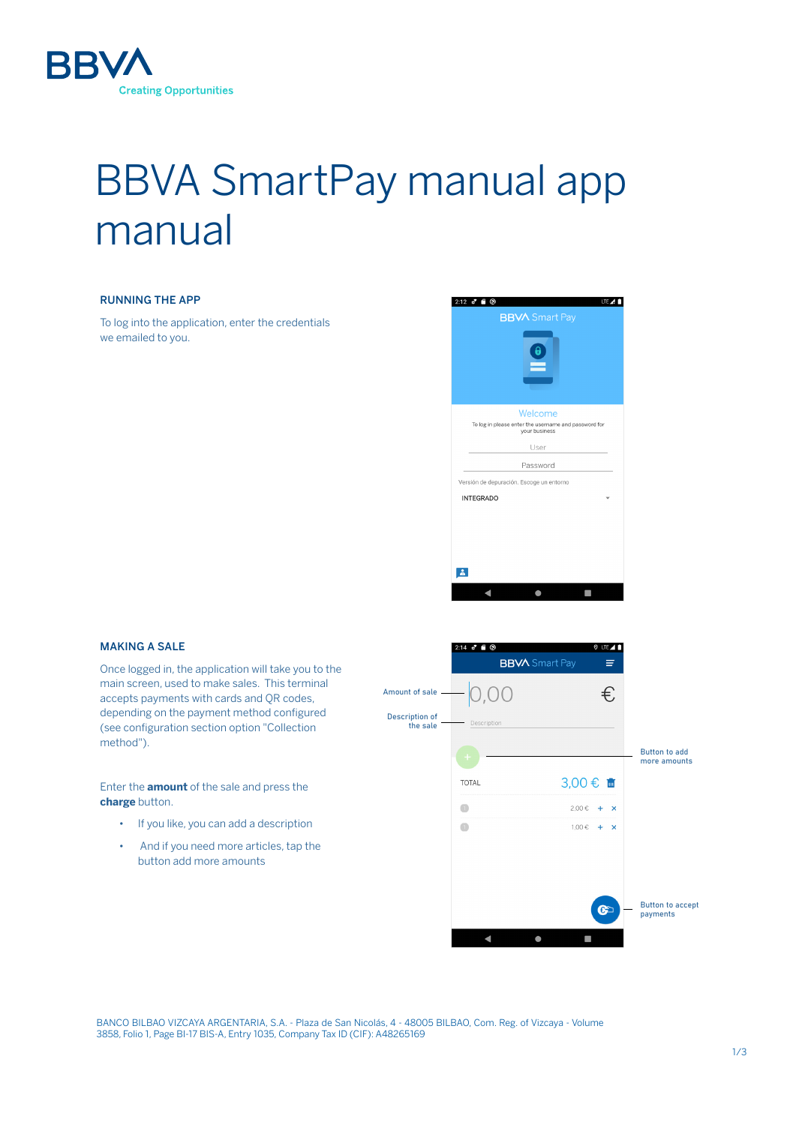

# BBVA SmartPay manual app manual

## RUNNING THE APP

To log into the application, enter the credentials we emailed to you.



## MAKING A SALE

Once logged in, the application will take you to the main screen, used to make sales. This terminal accepts payments with cards and QR codes, depending on the payment method configured (see configuration section option "Collection method").

Enter the **amount** of the sale and press the **charge** button.

- If you like, you can add a description
- And if you need more articles, tap the button add more amounts



BANCO BILBAO VIZCAYA ARGENTARIA, S.A. - Plaza de San Nicolás, 4 - 48005 BILBAO, Com. Reg. of Vizcaya - Volume 3858, Folio 1, Page BI-17 BIS-A, Entry 1035, Company Tax ID (CIF): A48265169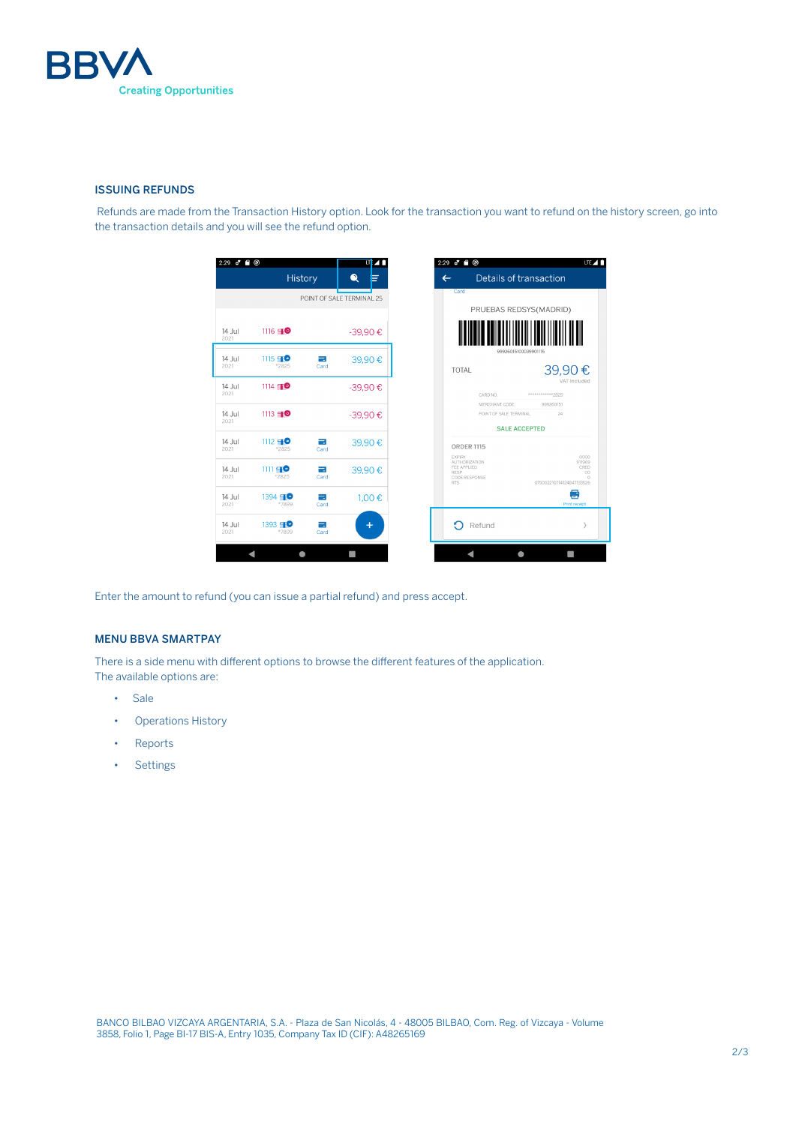

#### ISSUING REFUNDS

 Refunds are made from the Transaction History option. Look for the transaction you want to refund on the history screen, go into the transaction details and you will see the refund option.

| Card<br>POINT OF SALE TERMINAL 25<br>1116 40<br>14 Jul<br>-39,90€<br>2021<br>99926015100039901115<br>$1115 = 0$<br>14 Jul<br>$\equiv$<br>39,90€<br>2021<br>*2825<br>Card<br>TOTAL<br>$1114 = 0$<br>14 Jul<br>-39,90€<br>2021<br>CARD NO.<br>************2825<br>MERCHANT CODE<br>999260151<br>$1113 = 0$<br>14 Jul<br>-39,90€<br>POINT OF SALE TERMINAL<br>24<br>2021<br><b>SALE ACCEPTED</b><br>$1112 = 0$<br>14 Jul<br>$\equiv$<br>39,90€<br><b>ORDER 1115</b><br>2021<br>*2825<br>Card<br>EXPIRY<br><b>AUTHORIZATION</b><br>FEE APPLIED<br>$1111 = 0$<br>14 Jul<br>÷<br>39,90€<br>RESP<br>2021<br>*2825<br>Card<br>CODE RESPONSE<br><b>RTS</b><br>$1394 = 0$<br>14 Jul<br>=<br>1,00 €<br>2021<br>*7899<br>Card | " ම<br>$2:29$ of<br><b>History</b><br>Details of transaction<br>⋒<br>$\leftarrow$ | lie / M        |
|-------------------------------------------------------------------------------------------------------------------------------------------------------------------------------------------------------------------------------------------------------------------------------------------------------------------------------------------------------------------------------------------------------------------------------------------------------------------------------------------------------------------------------------------------------------------------------------------------------------------------------------------------------------------------------------------------------------------|-----------------------------------------------------------------------------------|----------------|
|                                                                                                                                                                                                                                                                                                                                                                                                                                                                                                                                                                                                                                                                                                                   |                                                                                   |                |
|                                                                                                                                                                                                                                                                                                                                                                                                                                                                                                                                                                                                                                                                                                                   | PRUEBAS REDSYS(MADRID)                                                            |                |
|                                                                                                                                                                                                                                                                                                                                                                                                                                                                                                                                                                                                                                                                                                                   |                                                                                   |                |
|                                                                                                                                                                                                                                                                                                                                                                                                                                                                                                                                                                                                                                                                                                                   |                                                                                   |                |
|                                                                                                                                                                                                                                                                                                                                                                                                                                                                                                                                                                                                                                                                                                                   | 39,90€                                                                            | VAT Included   |
|                                                                                                                                                                                                                                                                                                                                                                                                                                                                                                                                                                                                                                                                                                                   |                                                                                   |                |
|                                                                                                                                                                                                                                                                                                                                                                                                                                                                                                                                                                                                                                                                                                                   |                                                                                   |                |
|                                                                                                                                                                                                                                                                                                                                                                                                                                                                                                                                                                                                                                                                                                                   |                                                                                   |                |
|                                                                                                                                                                                                                                                                                                                                                                                                                                                                                                                                                                                                                                                                                                                   |                                                                                   |                |
|                                                                                                                                                                                                                                                                                                                                                                                                                                                                                                                                                                                                                                                                                                                   |                                                                                   | 0000<br>911969 |
|                                                                                                                                                                                                                                                                                                                                                                                                                                                                                                                                                                                                                                                                                                                   |                                                                                   | CRED<br>00     |
|                                                                                                                                                                                                                                                                                                                                                                                                                                                                                                                                                                                                                                                                                                                   | 075002210714124847133526                                                          | Ø              |
|                                                                                                                                                                                                                                                                                                                                                                                                                                                                                                                                                                                                                                                                                                                   |                                                                                   | Print receipt  |
| ∩<br>1393 50<br>14 Jul<br>Refund<br>=                                                                                                                                                                                                                                                                                                                                                                                                                                                                                                                                                                                                                                                                             |                                                                                   | ٦              |
| $\ddot{}$<br>2021<br>*7899<br>Card                                                                                                                                                                                                                                                                                                                                                                                                                                                                                                                                                                                                                                                                                |                                                                                   |                |

Enter the amount to refund (you can issue a partial refund) and press accept.

# MENU BBVA SMARTPAY

There is a side menu with different options to browse the different features of the application. The available options are:

- Sale
- Operations History
- Reports
- Settings